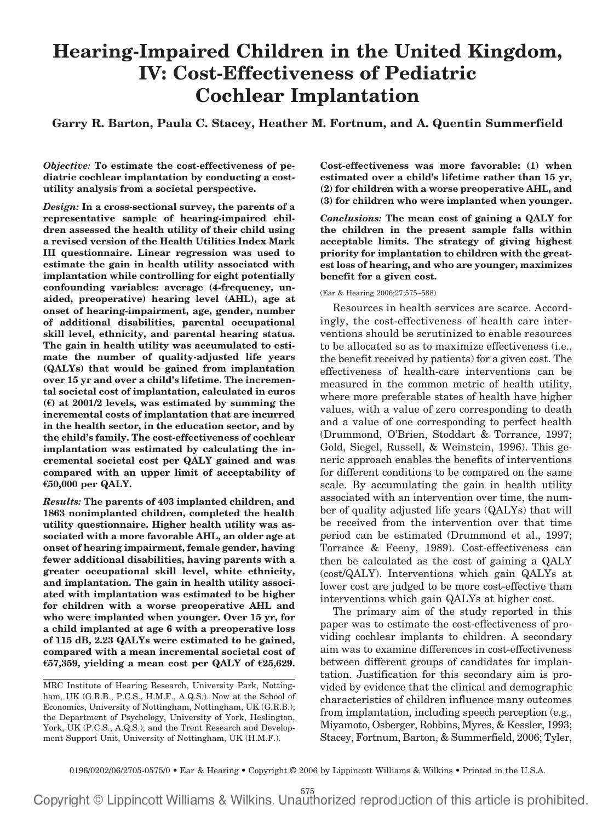# **Hearing-Impaired Children in the United Kingdom, IV: Cost-Effectiveness of Pediatric Cochlear Implantation**

**Garry R. Barton, Paula C. Stacey, Heather M. Fortnum, and A. Quentin Summerfield**

*Objective:* **To estimate the cost-effectiveness of pediatric cochlear implantation by conducting a costutility analysis from a societal perspective.**

*Design:* **In a cross-sectional survey, the parents of a representative sample of hearing-impaired children assessed the health utility of their child using a revised version of the Health Utilities Index Mark III questionnaire. Linear regression was used to estimate the gain in health utility associated with implantation while controlling for eight potentially confounding variables: average (4-frequency, unaided, preoperative) hearing level (AHL), age at onset of hearing-impairment, age, gender, number of additional disabilities, parental occupational skill level, ethnicity, and parental hearing status. The gain in health utility was accumulated to estimate the number of quality-adjusted life years (QALYs) that would be gained from implantation over 15 yr and over a child's lifetime. The incremental societal cost of implantation, calculated in euros**  $(\epsilon)$  at 2001/2 levels, was estimated by summing the **incremental costs of implantation that are incurred in the health sector, in the education sector, and by the child's family. The cost-effectiveness of cochlear implantation was estimated by calculating the incremental societal cost per QALY gained and was compared with an upper limit of acceptability of €50,000 per QALY.**

*Results:* **The parents of 403 implanted children, and 1863 nonimplanted children, completed the health utility questionnaire. Higher health utility was associated with a more favorable AHL, an older age at onset of hearing impairment, female gender, having fewer additional disabilities, having parents with a greater occupational skill level, white ethnicity, and implantation. The gain in health utility associated with implantation was estimated to be higher for children with a worse preoperative AHL and who were implanted when younger. Over 15 yr, for a child implanted at age 6 with a preoperative loss of 115 dB, 2.23 QALYs were estimated to be gained, compared with a mean incremental societal cost of €57,359, yielding a mean cost per QALY of €25,629.**

MRC Institute of Hearing Research, University Park, Nottingham, UK (G.R.B., P.C.S., H.M.F., A.Q.S.). Now at the School of Economics, University of Nottingham, Nottingham, UK (G.R.B.); the Department of Psychology, University of York, Heslington, York, UK (P.C.S., A.Q.S.); and the Trent Research and Development Support Unit, University of Nottingham, UK (H.M.F.).

**Cost-effectiveness was more favorable: (1) when estimated over a child's lifetime rather than 15 yr, (2) for children with a worse preoperative AHL, and (3) for children who were implanted when younger.**

*Conclusions:* **The mean cost of gaining a QALY for the children in the present sample falls within acceptable limits. The strategy of giving highest priority for implantation to children with the greatest loss of hearing, and who are younger, maximizes benefit for a given cost.**

#### (Ear & Hearing 2006;27;575–588)

Resources in health services are scarce. Accordingly, the cost-effectiveness of health care interventions should be scrutinized to enable resources to be allocated so as to maximize effectiveness (i.e., the benefit received by patients) for a given cost. The effectiveness of health-care interventions can be measured in the common metric of health utility, where more preferable states of health have higher values, with a value of zero corresponding to death and a value of one corresponding to perfect health (Drummond, O'Brien, Stoddart & Torrance, 1997; Gold, Siegel, Russell, & Weinstein, 1996). This generic approach enables the benefits of interventions for different conditions to be compared on the same scale. By accumulating the gain in health utility associated with an intervention over time, the number of quality adjusted life years (QALYs) that will be received from the intervention over that time period can be estimated (Drummond et al., 1997; Torrance & Feeny, 1989). Cost-effectiveness can then be calculated as the cost of gaining a QALY (cost/QALY). Interventions which gain QALYs at lower cost are judged to be more cost-effective than interventions which gain QALYs at higher cost.

The primary aim of the study reported in this paper was to estimate the cost-effectiveness of providing cochlear implants to children. A secondary aim was to examine differences in cost-effectiveness between different groups of candidates for implantation. Justification for this secondary aim is provided by evidence that the clinical and demographic characteristics of children influence many outcomes from implantation, including speech perception (e.g., Miyamoto, Osberger, Robbins, Myres, & Kessler, 1993; Stacey, Fortnum, Barton, & Summerfield, 2006; Tyler,

0196/0202/06/2705-0575/0 • Ear & Hearing • Copyright © 2006 by Lippincott Williams & Wilkins • Printed in the U.S.A.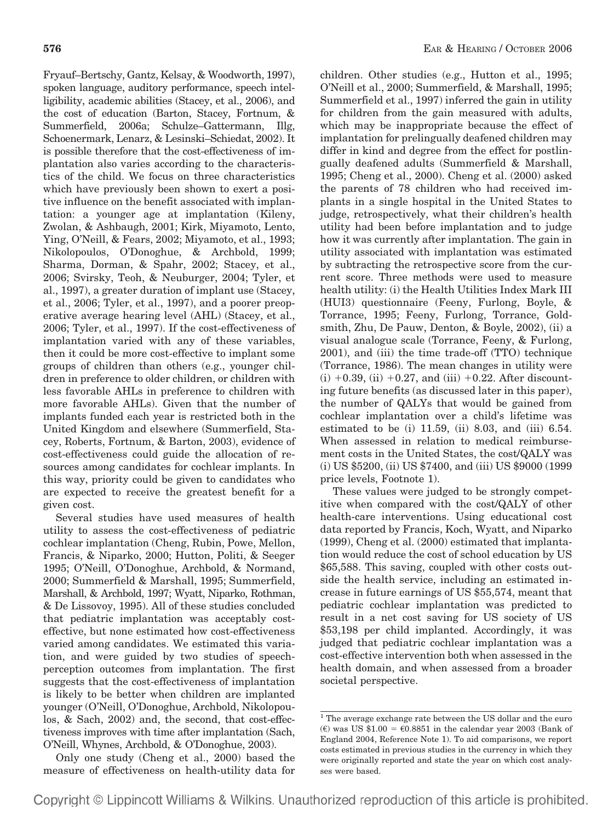Fryauf–Bertschy, Gantz, Kelsay, & Woodworth, 1997), spoken language, auditory performance, speech intelligibility, academic abilities (Stacey, et al., 2006), and the cost of education (Barton, Stacey, Fortnum, & Summerfield, 2006a; Schulze–Gattermann, Illg, Schoenermark, Lenarz, & Lesinski–Schiedat, 2002). It is possible therefore that the cost-effectiveness of implantation also varies according to the characteristics of the child. We focus on three characteristics which have previously been shown to exert a positive influence on the benefit associated with implantation: a younger age at implantation (Kileny, Zwolan, & Ashbaugh, 2001; Kirk, Miyamoto, Lento, Ying, O'Neill, & Fears, 2002; Miyamoto, et al., 1993; Nikolopoulos, O'Donoghue, & Archbold, 1999; Sharma, Dorman, & Spahr, 2002; Stacey, et al., 2006; Svirsky, Teoh, & Neuburger, 2004; Tyler, et al., 1997), a greater duration of implant use (Stacey, et al., 2006; Tyler, et al., 1997), and a poorer preoperative average hearing level (AHL) (Stacey, et al., 2006; Tyler, et al., 1997). If the cost-effectiveness of implantation varied with any of these variables, then it could be more cost-effective to implant some groups of children than others (e.g., younger children in preference to older children, or children with less favorable AHLs in preference to children with more favorable AHLs). Given that the number of implants funded each year is restricted both in the United Kingdom and elsewhere (Summerfield, Stacey, Roberts, Fortnum, & Barton, 2003), evidence of cost-effectiveness could guide the allocation of resources among candidates for cochlear implants. In this way, priority could be given to candidates who are expected to receive the greatest benefit for a given cost.

Several studies have used measures of health utility to assess the cost-effectiveness of pediatric cochlear implantation (Cheng, Rubin, Powe, Mellon, Francis, & Niparko, 2000; Hutton, Politi, & Seeger 1995; O'Neill, O'Donoghue, Archbold, & Normand, 2000; Summerfield & Marshall, 1995; Summerfield, Marshall, & Archbold, 1997; Wyatt, Niparko, Rothman, & De Lissovoy, 1995). All of these studies concluded that pediatric implantation was acceptably costeffective, but none estimated how cost-effectiveness varied among candidates. We estimated this variation, and were guided by two studies of speechperception outcomes from implantation. The first suggests that the cost-effectiveness of implantation is likely to be better when children are implanted younger (O'Neill, O'Donoghue, Archbold, Nikolopoulos, & Sach, 2002) and, the second, that cost-effectiveness improves with time after implantation (Sach, O'Neill, Whynes, Archbold, & O'Donoghue, 2003).

Only one study (Cheng et al., 2000) based the measure of effectiveness on health-utility data for children. Other studies (e.g., Hutton et al., 1995; O'Neill et al., 2000; Summerfield, & Marshall, 1995; Summerfield et al., 1997) inferred the gain in utility for children from the gain measured with adults, which may be inappropriate because the effect of implantation for prelingually deafened children may differ in kind and degree from the effect for postlingually deafened adults (Summerfield & Marshall, 1995; Cheng et al., 2000). Cheng et al. (2000) asked the parents of 78 children who had received implants in a single hospital in the United States to judge, retrospectively, what their children's health utility had been before implantation and to judge how it was currently after implantation. The gain in utility associated with implantation was estimated by subtracting the retrospective score from the current score. Three methods were used to measure health utility: (i) the Health Utilities Index Mark III (HUI3) questionnaire (Feeny, Furlong, Boyle, & Torrance, 1995; Feeny, Furlong, Torrance, Goldsmith, Zhu, De Pauw, Denton, & Boyle, 2002), (ii) a visual analogue scale (Torrance, Feeny, & Furlong, 2001), and (iii) the time trade-off (TTO) technique (Torrance, 1986). The mean changes in utility were  $(i) + 0.39$ ,  $(ii) + 0.27$ , and  $(iii) + 0.22$ . After discounting future benefits (as discussed later in this paper), the number of QALYs that would be gained from cochlear implantation over a child's lifetime was estimated to be (i) 11.59, (ii) 8.03, and (iii) 6.54. When assessed in relation to medical reimbursement costs in the United States, the cost/QALY was (i) US \$5200, (ii) US \$7400, and (iii) US \$9000 (1999 price levels, Footnote 1).

These values were judged to be strongly competitive when compared with the cost/QALY of other health-care interventions. Using educational cost data reported by Francis, Koch, Wyatt, and Niparko (1999), Cheng et al. (2000) estimated that implantation would reduce the cost of school education by US \$65,588. This saving, coupled with other costs outside the health service, including an estimated increase in future earnings of US \$55,574, meant that pediatric cochlear implantation was predicted to result in a net cost saving for US society of US \$53,198 per child implanted. Accordingly, it was judged that pediatric cochlear implantation was a cost-effective intervention both when assessed in the health domain, and when assessed from a broader societal perspective.

<sup>&</sup>lt;sup>1</sup> The average exchange rate between the US dollar and the euro  $(€)$  was US \$1.00 = €0.8851 in the calendar year 2003 (Bank of England 2004, Reference Note 1). To aid comparisons, we report costs estimated in previous studies in the currency in which they were originally reported and state the year on which cost analyses were based.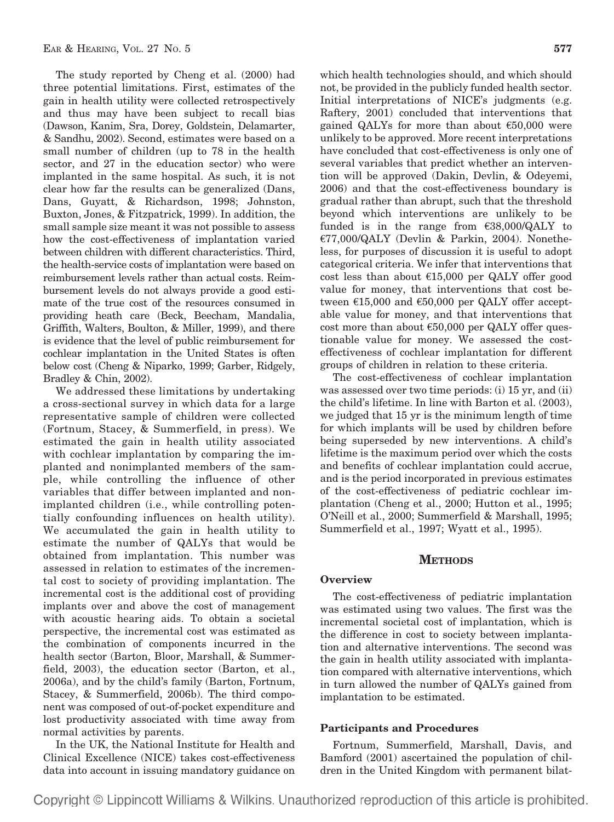The study reported by Cheng et al. (2000) had three potential limitations. First, estimates of the gain in health utility were collected retrospectively and thus may have been subject to recall bias (Dawson, Kanim, Sra, Dorey, Goldstein, Delamarter, & Sandhu, 2002). Second, estimates were based on a small number of children (up to 78 in the health sector, and 27 in the education sector) who were implanted in the same hospital. As such, it is not clear how far the results can be generalized (Dans, Dans, Guyatt, & Richardson, 1998; Johnston, Buxton, Jones, & Fitzpatrick, 1999). In addition, the small sample size meant it was not possible to assess how the cost-effectiveness of implantation varied between children with different characteristics. Third, the health-service costs of implantation were based on reimbursement levels rather than actual costs. Reimbursement levels do not always provide a good estimate of the true cost of the resources consumed in providing heath care (Beck, Beecham, Mandalia, Griffith, Walters, Boulton, & Miller, 1999), and there is evidence that the level of public reimbursement for cochlear implantation in the United States is often below cost (Cheng & Niparko, 1999; Garber, Ridgely, Bradley & Chin, 2002).

We addressed these limitations by undertaking a cross-sectional survey in which data for a large representative sample of children were collected (Fortnum, Stacey, & Summerfield, in press). We estimated the gain in health utility associated with cochlear implantation by comparing the implanted and nonimplanted members of the sample, while controlling the influence of other variables that differ between implanted and nonimplanted children (i.e., while controlling potentially confounding influences on health utility). We accumulated the gain in health utility to estimate the number of QALYs that would be obtained from implantation. This number was assessed in relation to estimates of the incremental cost to society of providing implantation. The incremental cost is the additional cost of providing implants over and above the cost of management with acoustic hearing aids. To obtain a societal perspective, the incremental cost was estimated as the combination of components incurred in the health sector (Barton, Bloor, Marshall, & Summerfield, 2003), the education sector (Barton, et al., 2006a), and by the child's family (Barton, Fortnum, Stacey, & Summerfield, 2006b). The third component was composed of out-of-pocket expenditure and lost productivity associated with time away from normal activities by parents.

In the UK, the National Institute for Health and Clinical Excellence (NICE) takes cost-effectiveness data into account in issuing mandatory guidance on which health technologies should, and which should not, be provided in the publicly funded health sector. Initial interpretations of NICE's judgments (e.g. Raftery, 2001) concluded that interventions that gained QALYs for more than about  $\epsilon$ 50,000 were unlikely to be approved. More recent interpretations have concluded that cost-effectiveness is only one of several variables that predict whether an intervention will be approved (Dakin, Devlin, & Odeyemi, 2006) and that the cost-effectiveness boundary is gradual rather than abrupt, such that the threshold beyond which interventions are unlikely to be funded is in the range from  $\epsilon$ 38,000/QALY to €77,000/QALY (Devlin & Parkin, 2004). Nonetheless, for purposes of discussion it is useful to adopt categorical criteria. We infer that interventions that cost less than about  $\epsilon$ 15,000 per QALY offer good value for money, that interventions that cost between  $\epsilon$ 15,000 and  $\epsilon$ 50,000 per QALY offer acceptable value for money, and that interventions that cost more than about  $\epsilon$ 50,000 per QALY offer questionable value for money. We assessed the costeffectiveness of cochlear implantation for different groups of children in relation to these criteria.

The cost-effectiveness of cochlear implantation was assessed over two time periods: (i) 15 yr, and (ii) the child's lifetime. In line with Barton et al. (2003), we judged that 15 yr is the minimum length of time for which implants will be used by children before being superseded by new interventions. A child's lifetime is the maximum period over which the costs and benefits of cochlear implantation could accrue, and is the period incorporated in previous estimates of the cost-effectiveness of pediatric cochlear implantation (Cheng et al., 2000; Hutton et al., 1995; O'Neill et al., 2000; Summerfield & Marshall, 1995; Summerfield et al., 1997; Wyatt et al., 1995).

## **METHODS**

# **Overview**

The cost-effectiveness of pediatric implantation was estimated using two values. The first was the incremental societal cost of implantation, which is the difference in cost to society between implantation and alternative interventions. The second was the gain in health utility associated with implantation compared with alternative interventions, which in turn allowed the number of QALYs gained from implantation to be estimated.

## **Participants and Procedures**

Fortnum, Summerfield, Marshall, Davis, and Bamford (2001) ascertained the population of children in the United Kingdom with permanent bilat-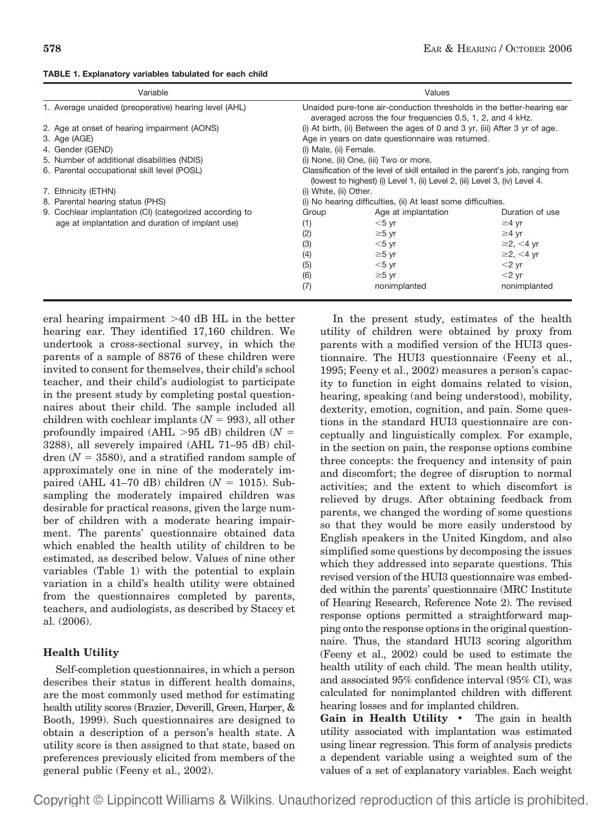|  |  | TABLE 1. Explanatory variables tabulated for each child |  |  |
|--|--|---------------------------------------------------------|--|--|
|  |  |                                                         |  |  |

| Variable |                                                         | Values                                                                                                                                                         |                                                                             |                      |  |
|----------|---------------------------------------------------------|----------------------------------------------------------------------------------------------------------------------------------------------------------------|-----------------------------------------------------------------------------|----------------------|--|
|          | 1. Average unaided (preoperative) hearing level (AHL)   | Unaided pure-tone air-conduction thresholds in the better-hearing ear<br>averaged across the four frequencies 0.5, 1, 2, and 4 kHz.                            |                                                                             |                      |  |
|          | 2. Age at onset of hearing impairment (AONS)            |                                                                                                                                                                | (i) At birth, (ii) Between the ages of 0 and 3 yr, (iii) After 3 yr of age. |                      |  |
|          | 3. Age (AGE)                                            |                                                                                                                                                                | Age in years on date questionnaire was returned.                            |                      |  |
|          | 4. Gender (GEND)                                        | (i) Male, (ii) Female.                                                                                                                                         |                                                                             |                      |  |
|          | 5. Number of additional disabilities (NDIS)             |                                                                                                                                                                | (i) None, (ii) One, (iii) Two or more.                                      |                      |  |
|          | 6. Parental occupational skill level (POSL)             | Classification of the level of skill entailed in the parent's job, ranging from<br>(lowest to highest) (i) Level 1, (ii) Level 2, (iii) Level 3, (iv) Level 4. |                                                                             |                      |  |
|          | 7. Ethnicity (ETHN)                                     | (i) White, (ii) Other.                                                                                                                                         |                                                                             |                      |  |
|          | 8. Parental hearing status (PHS)                        |                                                                                                                                                                | (i) No hearing difficulties, (ii) At least some difficulties.               |                      |  |
|          | 9. Cochlear implantation (CI) (categorized according to | Group                                                                                                                                                          | Age at implantation                                                         | Duration of use      |  |
|          | age at implantation and duration of implant use)        | (1)                                                                                                                                                            | $<$ 5 yr                                                                    | $\geq$ 4 yr          |  |
|          |                                                         | (2)                                                                                                                                                            | $\geq 5$ yr                                                                 | $\geq$ 4 yr          |  |
|          |                                                         | (3)                                                                                                                                                            | $<$ 5 yr                                                                    | $\geq$ 2, $\lt$ 4 yr |  |
|          |                                                         | (4)                                                                                                                                                            | $\geq 5$ yr                                                                 | $\geq$ 2, $\lt$ 4 yr |  |
|          |                                                         | (5)                                                                                                                                                            | $<$ 5 yr                                                                    | $<$ 2 yr             |  |
|          |                                                         | (6)                                                                                                                                                            | $\geq 5$ yr                                                                 | $<$ 2 yr             |  |
|          |                                                         | (7)                                                                                                                                                            | nonimplanted                                                                | nonimplanted         |  |

eral hearing impairment  $>40$  dB HL in the better hearing ear. They identified 17,160 children. We undertook a cross-sectional survey, in which the parents of a sample of 8876 of these children were invited to consent for themselves, their child's school teacher, and their child's audiologist to participate in the present study by completing postal questionnaires about their child. The sample included all children with cochlear implants  $(N = 993)$ , all other profoundly impaired  $(AHL > 95$  dB) children  $(N =$ 3288), all severely impaired (AHL 71–95 dB) chil $d$ ren  $(N = 3580)$ , and a stratified random sample of approximately one in nine of the moderately impaired (AHL 41–70 dB) children  $(N = 1015)$ . Subsampling the moderately impaired children was desirable for practical reasons, given the large number of children with a moderate hearing impairment. The parents' questionnaire obtained data which enabled the health utility of children to be estimated, as described below. Values of nine other variables (Table 1) with the potential to explain variation in a child's health utility were obtained from the questionnaires completed by parents, teachers, and audiologists, as described by Stacey et al. (2006).

# **Health Utility**

Self-completion questionnaires, in which a person describes their status in different health domains, are the most commonly used method for estimating health utility scores (Brazier, Deverill, Green, Harper, & Booth, 1999). Such questionnaires are designed to obtain a description of a person's health state. A utility score is then assigned to that state, based on preferences previously elicited from members of the general public (Feeny et al., 2002).

In the present study, estimates of the health utility of children were obtained by proxy from parents with a modified version of the HUI3 questionnaire. The HUI3 questionnaire (Feeny et al., 1995; Feeny et al., 2002) measures a person's capacity to function in eight domains related to vision, hearing, speaking (and being understood), mobility, dexterity, emotion, cognition, and pain. Some questions in the standard HUI3 questionnaire are conceptually and linguistically complex. For example, in the section on pain, the response options combine three concepts: the frequency and intensity of pain and discomfort; the degree of disruption to normal activities; and the extent to which discomfort is relieved by drugs. After obtaining feedback from parents, we changed the wording of some questions so that they would be more easily understood by English speakers in the United Kingdom, and also simplified some questions by decomposing the issues which they addressed into separate questions. This revised version of the HUI3 questionnaire was embedded within the parents' questionnaire (MRC Institute of Hearing Research, Reference Note 2). The revised response options permitted a straightforward mapping onto the response options in the original questionnaire. Thus, the standard HUI3 scoring algorithm (Feeny et al., 2002) could be used to estimate the health utility of each child. The mean health utility, and associated 95% confidence interval (95% CI), was calculated for nonimplanted children with different hearing losses and for implanted children.

**Gain in Health Utility** • The gain in health utility associated with implantation was estimated using linear regression. This form of analysis predicts a dependent variable using a weighted sum of the values of a set of explanatory variables. Each weight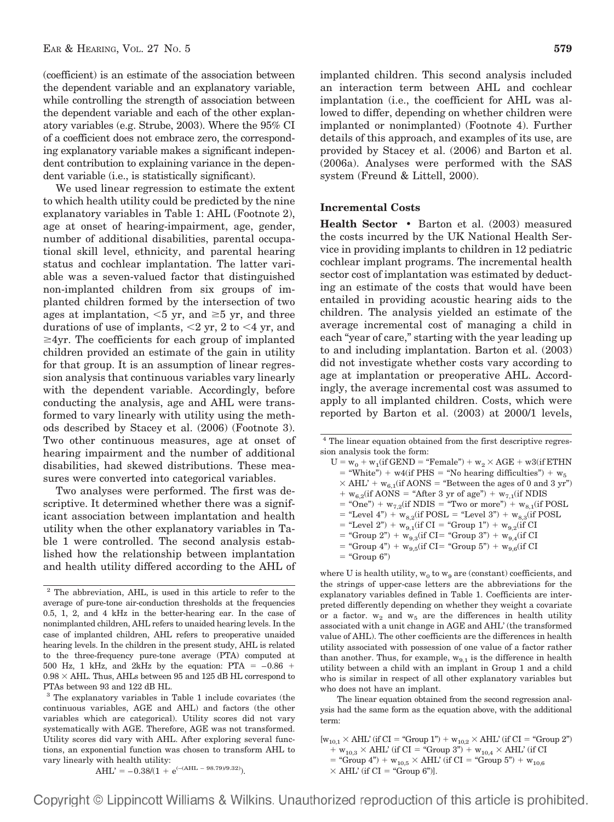(coefficient) is an estimate of the association between the dependent variable and an explanatory variable, while controlling the strength of association between the dependent variable and each of the other explanatory variables (e.g. Strube, 2003). Where the 95% CI of a coefficient does not embrace zero, the corresponding explanatory variable makes a significant independent contribution to explaining variance in the dependent variable (i.e., is statistically significant).

We used linear regression to estimate the extent to which health utility could be predicted by the nine explanatory variables in Table 1: AHL (Footnote 2), age at onset of hearing-impairment, age, gender, number of additional disabilities, parental occupational skill level, ethnicity, and parental hearing status and cochlear implantation. The latter variable was a seven-valued factor that distinguished non-implanted children from six groups of implanted children formed by the intersection of two ages at implantation,  $<5$  yr, and  $\geq 5$  yr, and three durations of use of implants,  $\langle 2 \rangle$  yr, 2 to  $\langle 4 \rangle$  yr, and  $\geq$ 4yr. The coefficients for each group of implanted children provided an estimate of the gain in utility for that group. It is an assumption of linear regression analysis that continuous variables vary linearly with the dependent variable. Accordingly, before conducting the analysis, age and AHL were transformed to vary linearly with utility using the methods described by Stacey et al. (2006) (Footnote 3). Two other continuous measures, age at onset of hearing impairment and the number of additional disabilities, had skewed distributions. These measures were converted into categorical variables.

Two analyses were performed. The first was descriptive. It determined whether there was a significant association between implantation and health utility when the other explanatory variables in Table 1 were controlled. The second analysis established how the relationship between implantation and health utility differed according to the AHL of

AHL' =  $-0.38/(1 + e^{(- (AHL - 98.79)/9.32)}).$ 

implanted children. This second analysis included an interaction term between AHL and cochlear implantation (i.e., the coefficient for AHL was allowed to differ, depending on whether children were implanted or nonimplanted) (Footnote 4). Further details of this approach, and examples of its use, are provided by Stacey et al. (2006) and Barton et al. (2006a). Analyses were performed with the SAS system (Freund & Littell, 2000).

## **Incremental Costs**

**Health Sector** • Barton et al. (2003) measured the costs incurred by the UK National Health Service in providing implants to children in 12 pediatric cochlear implant programs. The incremental health sector cost of implantation was estimated by deducting an estimate of the costs that would have been entailed in providing acoustic hearing aids to the children. The analysis yielded an estimate of the average incremental cost of managing a child in each "year of care," starting with the year leading up to and including implantation. Barton et al. (2003) did not investigate whether costs vary according to age at implantation or preoperative AHL. Accordingly, the average incremental cost was assumed to apply to all implanted children. Costs, which were reported by Barton et al. (2003) at 2000/1 levels,

 $U = w_0 + w_1(if GEND = "Female") + w_2 \times AGE + w3(if ETHN)$  $=$  "White") + w4(if PHS = "No hearing difficulties") +  $w_5$  $\times$  AHL' +  $w_{6,1}$ (if AONS = "Between the ages of 0 and 3 yr")  $+ w_{6,2}$ (if AONS = "After 3 yr of age")  $+ w_{7,1}$ (if NDIS  $=$  "One") +  $w_{7,2}$ (if NDIS = "Two or more") +  $w_{8,1}$ (if POSL  $=$  "Level 4") +  $w_{8,2}$ (if POSL = "Level 3") +  $w_{8,3}$ (if POSL  $=$  "Level 2") +  $w_{9,1}$ (if CI = "Group 1") +  $w_{9,2}$ (if CI  $=$  "Group 2") +  $w_{9,3}$ (if CI= "Group 3") +  $w_{9,4}$ (if CI  $=$  "Group 4") +  $w_{9,5}$ (if CI= "Group 5") +  $w_{9,6}$ (if CI  $=$  "Group 6")

where U is health utility,  $w_0$  to  $w_9$  are (constant) coefficients, and the strings of upper-case letters are the abbreviations for the explanatory variables defined in Table 1. Coefficients are interpreted differently depending on whether they weight a covariate or a factor.  $w_2$  and  $w_5$  are the differences in health utility associated with a unit change in AGE and AHL' (the transformed value of AHL). The other coefficients are the differences in health utility associated with possession of one value of a factor rather than another. Thus, for example,  $w_{9,1}$  is the difference in health utility between a child with an implant in Group 1 and a child who is similar in respect of all other explanatory variables but who does not have an implant.

The linear equation obtained from the second regression analysis had the same form as the equation above, with the additional term:

 $[w_{10,1} \times AHL'$  (if CI = "Group 1") +  $w_{10,2} \times AHL'$  (if CI = "Group 2")  $+ w_{10,3} \times AHL'$  (if CI = "Group 3")  $+ w_{10,4} \times AHL'$  (if CI  $=$  "Group 4") +  $w_{10,5} \times$  AHL' (if CI = "Group 5") +  $w_{10,6}$  $\times$  AHL' (if CI = "Group 6")].

<sup>2</sup> The abbreviation, AHL, is used in this article to refer to the average of pure-tone air-conduction thresholds at the frequencies 0.5, 1, 2, and 4 kHz in the better-hearing ear. In the case of nonimplanted children, AHL refers to unaided hearing levels. In the case of implanted children, AHL refers to preoperative unaided hearing levels. In the children in the present study, AHL is related to the three-frequency pure-tone average (PTA) computed at 500 Hz, 1 kHz, and 2kHz by the equation: PTA  $=$   $-0.86$  +  $0.98 \times$  AHL. Thus, AHLs between 95 and 125 dB HL correspond to PTAs between 93 and 122 dB HL.

<sup>3</sup> The explanatory variables in Table 1 include covariates (the continuous variables, AGE and AHL) and factors (the other variables which are categorical). Utility scores did not vary systematically with AGE. Therefore, AGE was not transformed. Utility scores did vary with AHL. After exploring several functions, an exponential function was chosen to transform AHL to vary linearly with health utility:

<sup>4</sup> The linear equation obtained from the first descriptive regression analysis took the form: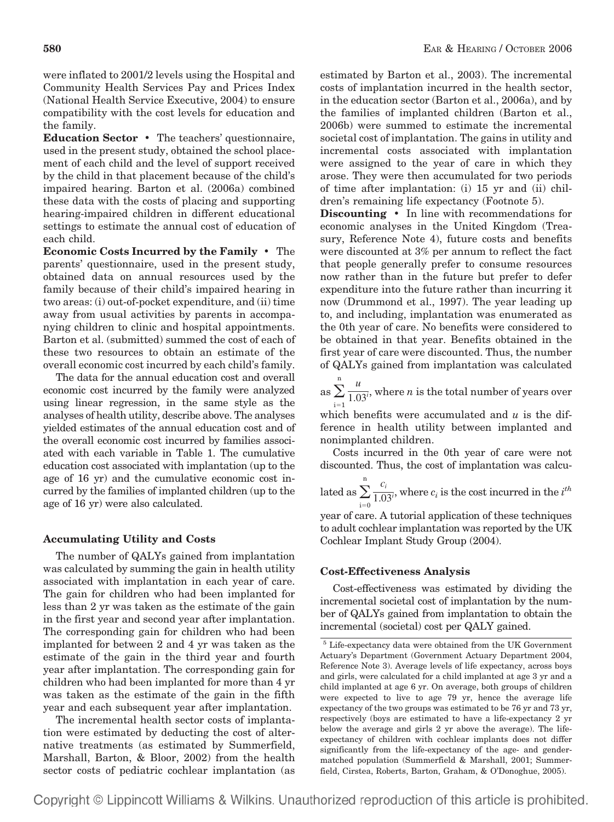were inflated to 2001/2 levels using the Hospital and Community Health Services Pay and Prices Index (National Health Service Executive, 2004) to ensure compatibility with the cost levels for education and the family.

**Education Sector** • The teachers' questionnaire, used in the present study, obtained the school placement of each child and the level of support received by the child in that placement because of the child's impaired hearing. Barton et al. (2006a) combined these data with the costs of placing and supporting hearing-impaired children in different educational settings to estimate the annual cost of education of each child.

**Economic Costs Incurred by the Family** • The parents' questionnaire, used in the present study, obtained data on annual resources used by the family because of their child's impaired hearing in two areas: (i) out-of-pocket expenditure, and (ii) time away from usual activities by parents in accompanying children to clinic and hospital appointments. Barton et al. (submitted) summed the cost of each of these two resources to obtain an estimate of the overall economic cost incurred by each child's family.

The data for the annual education cost and overall economic cost incurred by the family were analyzed using linear regression, in the same style as the analyses of health utility, describe above. The analyses yielded estimates of the annual education cost and of the overall economic cost incurred by families associated with each variable in Table 1. The cumulative education cost associated with implantation (up to the age of 16 yr) and the cumulative economic cost incurred by the families of implanted children (up to the age of 16 yr) were also calculated.

## **Accumulating Utility and Costs**

The number of QALYs gained from implantation was calculated by summing the gain in health utility associated with implantation in each year of care. The gain for children who had been implanted for less than 2 yr was taken as the estimate of the gain in the first year and second year after implantation. The corresponding gain for children who had been implanted for between 2 and 4 yr was taken as the estimate of the gain in the third year and fourth year after implantation. The corresponding gain for children who had been implanted for more than 4 yr was taken as the estimate of the gain in the fifth year and each subsequent year after implantation.

The incremental health sector costs of implantation were estimated by deducting the cost of alternative treatments (as estimated by Summerfield, Marshall, Barton, & Bloor, 2002) from the health sector costs of pediatric cochlear implantation (as

estimated by Barton et al., 2003). The incremental costs of implantation incurred in the health sector, in the education sector (Barton et al., 2006a), and by the families of implanted children (Barton et al., 2006b) were summed to estimate the incremental societal cost of implantation. The gains in utility and incremental costs associated with implantation were assigned to the year of care in which they arose. They were then accumulated for two periods of time after implantation: (i) 15 yr and (ii) children's remaining life expectancy (Footnote 5).

**Discounting** • In line with recommendations for economic analyses in the United Kingdom (Treasury, Reference Note 4), future costs and benefits were discounted at 3% per annum to reflect the fact that people generally prefer to consume resources now rather than in the future but prefer to defer expenditure into the future rather than incurring it now (Drummond et al., 1997). The year leading up to, and including, implantation was enumerated as the 0th year of care. No benefits were considered to be obtained in that year. Benefits obtained in the first year of care were discounted. Thus, the number of QALYs gained from implantation was calculated

as  $\sum_{i=1}$  $\frac{m}{n}$  u  $\frac{1}{1.03}$ <sup>*i*</sup>, where *n* is the total number of years over

which benefits were accumulated and *u* is the difference in health utility between implanted and nonimplanted children.

Costs incurred in the 0th year of care were not discounted. Thus, the cost of implantation was calcu-

 $\operatorname{lated \ as} \sum_{i=0}$  $\sum_{i=1}^n c_i$  $\frac{c_i}{1.03^i}$ , where  $c_i$  is the cost incurred in the *i*<sup>th</sup>

year of care. A tutorial application of these techniques to adult cochlear implantation was reported by the UK Cochlear Implant Study Group (2004).

## **Cost-Effectiveness Analysis**

Cost-effectiveness was estimated by dividing the incremental societal cost of implantation by the number of QALYs gained from implantation to obtain the incremental (societal) cost per QALY gained.

<sup>5</sup> Life-expectancy data were obtained from the UK Government Actuary's Department (Government Actuary Department 2004, Reference Note 3). Average levels of life expectancy, across boys and girls, were calculated for a child implanted at age 3 yr and a child implanted at age 6 yr. On average, both groups of children were expected to live to age 79 yr, hence the average life expectancy of the two groups was estimated to be 76 yr and 73 yr, respectively (boys are estimated to have a life-expectancy 2 yr below the average and girls 2 yr above the average). The lifeexpectancy of children with cochlear implants does not differ significantly from the life-expectancy of the age- and gendermatched population (Summerfield & Marshall, 2001; Summerfield, Cirstea, Roberts, Barton, Graham, & O'Donoghue, 2005).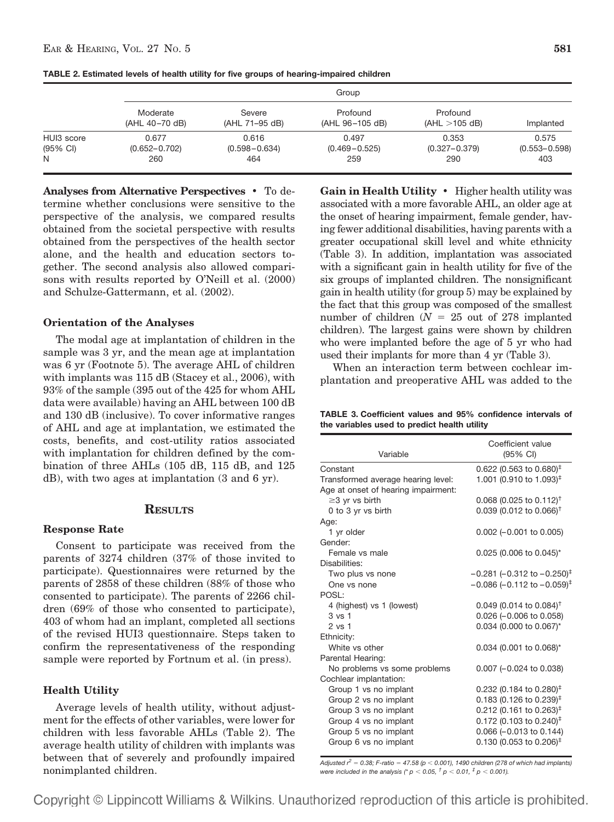|                             | Group                             |                                   |                                   |                                   |                                   |
|-----------------------------|-----------------------------------|-----------------------------------|-----------------------------------|-----------------------------------|-----------------------------------|
|                             | Moderate<br>(AHL 40-70 dB)        | Severe<br>(AHL 71-95 dB)          | Profound<br>(AHL 96-105 dB)       | Profound<br>(AHL > 105 dB)        | Implanted                         |
| HUI3 score<br>(95% CI)<br>N | 0.677<br>$(0.652 - 0.702)$<br>260 | 0.616<br>$(0.598 - 0.634)$<br>464 | 0.497<br>$(0.469 - 0.525)$<br>259 | 0.353<br>$(0.327 - 0.379)$<br>290 | 0.575<br>$(0.553 - 0.598)$<br>403 |

**TABLE 2. Estimated levels of health utility for five groups of hearing-impaired children**

**Analyses from Alternative Perspectives** • To determine whether conclusions were sensitive to the perspective of the analysis, we compared results obtained from the societal perspective with results obtained from the perspectives of the health sector alone, and the health and education sectors together. The second analysis also allowed comparisons with results reported by O'Neill et al. (2000) and Schulze-Gattermann, et al. (2002).

## **Orientation of the Analyses**

The modal age at implantation of children in the sample was 3 yr, and the mean age at implantation was 6 yr (Footnote 5). The average AHL of children with implants was 115 dB (Stacey et al., 2006), with 93% of the sample (395 out of the 425 for whom AHL data were available) having an AHL between 100 dB and 130 dB (inclusive). To cover informative ranges of AHL and age at implantation, we estimated the costs, benefits, and cost-utility ratios associated with implantation for children defined by the combination of three AHLs (105 dB, 115 dB, and 125 dB), with two ages at implantation (3 and 6 yr).

## **RESULTS**

#### **Response Rate**

Consent to participate was received from the parents of 3274 children (37% of those invited to participate). Questionnaires were returned by the parents of 2858 of these children (88% of those who consented to participate). The parents of 2266 children (69% of those who consented to participate), 403 of whom had an implant, completed all sections of the revised HUI3 questionnaire. Steps taken to confirm the representativeness of the responding sample were reported by Fortnum et al. (in press).

## **Health Utility**

Average levels of health utility, without adjustment for the effects of other variables, were lower for children with less favorable AHLs (Table 2). The average health utility of children with implants was between that of severely and profoundly impaired nonimplanted children.

**Gain in Health Utility** • Higher health utility was associated with a more favorable AHL, an older age at the onset of hearing impairment, female gender, having fewer additional disabilities, having parents with a greater occupational skill level and white ethnicity (Table 3). In addition, implantation was associated with a significant gain in health utility for five of the six groups of implanted children. The nonsignificant gain in health utility (for group 5) may be explained by the fact that this group was composed of the smallest number of children  $(N = 25$  out of 278 implanted children). The largest gains were shown by children who were implanted before the age of 5 yr who had used their implants for more than 4 yr (Table 3).

When an interaction term between cochlear implantation and preoperative AHL was added to the

**TABLE 3. Coefficient values and 95% confidence intervals of the variables used to predict health utility**

| Variable                            | Coefficient value<br>(95% CI)               |
|-------------------------------------|---------------------------------------------|
| Constant                            | $0.622$ (0.563 to 0.680) <sup>‡</sup>       |
| Transformed average hearing level:  | 1.001 (0.910 to 1.093) <sup>‡</sup>         |
| Age at onset of hearing impairment: |                                             |
| $\geq$ 3 yr vs birth                | $0.068$ (0.025 to 0.112) <sup>†</sup>       |
| 0 to 3 yr vs birth                  | $0.039$ (0.012 to 0.066) <sup>†</sup>       |
| Age:                                |                                             |
| 1 yr older                          | $0.002$ (-0.001 to 0.005)                   |
| Gender:                             |                                             |
| Female vs male                      | 0.025 (0.006 to 0.045)*                     |
| Disabilities:                       |                                             |
| Two plus vs none                    | $-0.281$ (-0.312 to $-0.250$ ) <sup>‡</sup> |
| One vs none                         | $-0.086$ (-0.112 to $-0.059$ ) <sup>‡</sup> |
| POSL:                               |                                             |
| 4 (highest) vs 1 (lowest)           | $0.049$ (0.014 to 0.084) <sup>†</sup>       |
| $3 \text{ vs } 1$                   | $0.026$ (-0.006 to 0.058)                   |
| $2$ vs 1                            | 0.034 (0.000 to 0.067)*                     |
| Ethnicity:                          |                                             |
| White vs other                      | 0.034 (0.001 to 0.068)*                     |
| Parental Hearing:                   |                                             |
| No problems vs some problems        | $0.007$ (-0.024 to 0.038)                   |
| Cochlear implantation:              |                                             |
| Group 1 vs no implant               | $0.232$ (0.184 to 0.280) <sup>‡</sup>       |
| Group 2 vs no implant               | $0.183$ (0.126 to 0.239) <sup>‡</sup>       |
| Group 3 vs no implant               | $0.212$ (0.161 to 0.263) <sup>‡</sup>       |
| Group 4 vs no implant               | $0.172$ (0.103 to 0.240) <sup>‡</sup>       |
| Group 5 vs no implant               | 0.066 (-0.013 to 0.144)                     |
| Group 6 vs no implant               | $0.130$ (0.053 to 0.206) <sup>‡</sup>       |

*Adjusted r<sup>2</sup>* - *0.38; F-ratio* - *47.58 (p 0.001), 1490 children (278 of which had implants) were included in the analysis (\* p < 0.05,*  $^{t}$  *p < 0.01,*  $^{t}$  *p < 0.001).*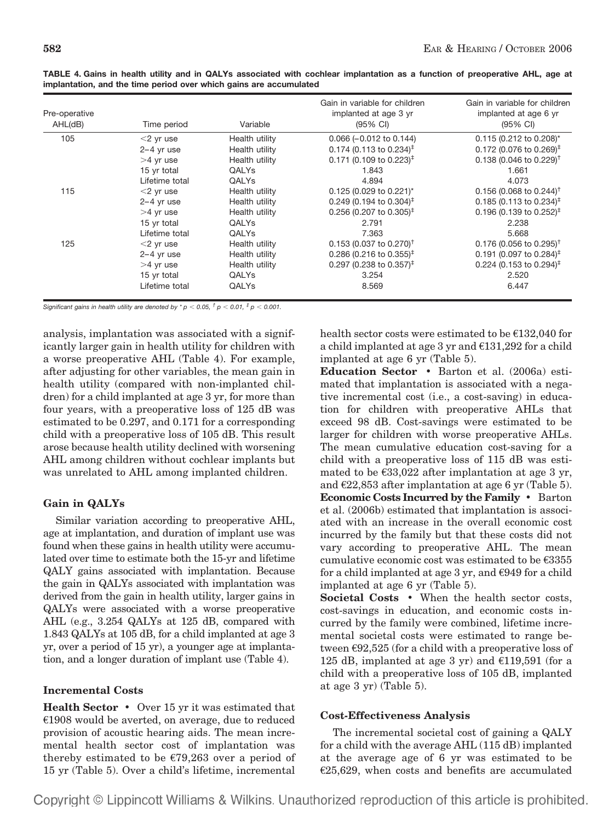| Pre-operative<br>AHL(dB) | Time period    | Variable       | Gain in variable for children<br>implanted at age 3 yr<br>$(95% \text{ Cl})$ | Gain in variable for children<br>implanted at age 6 yr<br>(95% CI) |
|--------------------------|----------------|----------------|------------------------------------------------------------------------------|--------------------------------------------------------------------|
| 105                      | $<$ 2 yr use   | Health utility | $0.066 (-0.012$ to $0.144)$                                                  | 0.115 (0.212 to 0.208)*                                            |
|                          | $2-4$ yr use   | Health utility | $0.174$ (0.113 to 0.234) <sup>‡</sup>                                        | $0.172$ (0.076 to 0.269) <sup>‡</sup>                              |
|                          | $>4$ yr use    | Health utility | $0.171$ (0.109 to 0.223) <sup>‡</sup>                                        | 0.138 (0.046 to 0.229) <sup>†</sup>                                |
|                          | 15 yr total    | <b>QALYs</b>   | 1.843                                                                        | 1.661                                                              |
|                          | Lifetime total | <b>QALYs</b>   | 4.894                                                                        | 4.073                                                              |
| 115                      | $<$ 2 yr use   | Health utility | 0.125 (0.029 to 0.221)*                                                      | $0.156$ (0.068 to 0.244) <sup>†</sup>                              |
|                          | $2-4$ yr use   | Health utility | 0.249 (0.194 to 0.304) <sup>‡</sup>                                          | $0.185$ (0.113 to 0.234) <sup>‡</sup>                              |
|                          | $>4$ yr use    | Health utility | $0.256$ (0.207 to 0.305) <sup>‡</sup>                                        | $0.196$ (0.139 to 0.252) <sup>‡</sup>                              |
|                          | 15 yr total    | <b>QALYs</b>   | 2.791                                                                        | 2.238                                                              |
|                          | Lifetime total | <b>QALYs</b>   | 7.363                                                                        | 5.668                                                              |
| 125                      | $<$ 2 yr use   | Health utility | $0.153$ (0.037 to 0.270) <sup>†</sup>                                        | $0.176$ (0.056 to 0.295) <sup>†</sup>                              |
|                          | $2-4$ yr use   | Health utility | $0.286$ (0.216 to 0.355) <sup>‡</sup>                                        | $0.191$ (0.097 to 0.284) <sup>‡</sup>                              |
|                          | $>4$ yr use    | Health utility | $0.297$ (0.238 to 0.357) <sup>‡</sup>                                        | $0.224$ (0.153 to 0.294) <sup>‡</sup>                              |
|                          | 15 yr total    | <b>QALYs</b>   | 3.254                                                                        | 2.520                                                              |
|                          | Lifetime total | <b>QALYs</b>   | 8.569                                                                        | 6.447                                                              |

**TABLE 4. Gains in health utility and in QALYs associated with cochlear implantation as a function of preoperative AHL, age at implantation, and the time period over which gains are accumulated**

*Significant gains in health utility are denoted by*  $p < 0.05$ *,*  $p < 0.01$ *,*  $p < 0.001$ *.* 

analysis, implantation was associated with a significantly larger gain in health utility for children with a worse preoperative AHL (Table 4). For example, after adjusting for other variables, the mean gain in health utility (compared with non-implanted children) for a child implanted at age 3 yr, for more than four years, with a preoperative loss of 125 dB was estimated to be 0.297, and 0.171 for a corresponding child with a preoperative loss of 105 dB. This result arose because health utility declined with worsening AHL among children without cochlear implants but was unrelated to AHL among implanted children.

# **Gain in QALYs**

Similar variation according to preoperative AHL, age at implantation, and duration of implant use was found when these gains in health utility were accumulated over time to estimate both the 15-yr and lifetime QALY gains associated with implantation. Because the gain in QALYs associated with implantation was derived from the gain in health utility, larger gains in QALYs were associated with a worse preoperative AHL (e.g., 3.254 QALYs at 125 dB, compared with 1.843 QALYs at 105 dB, for a child implanted at age 3 yr, over a period of 15 yr), a younger age at implantation, and a longer duration of implant use (Table 4).

## **Incremental Costs**

**Health Sector** • Over 15 yr it was estimated that €1908 would be averted, on average, due to reduced provision of acoustic hearing aids. The mean incremental health sector cost of implantation was thereby estimated to be  $\epsilon$ 79,263 over a period of 15 yr (Table 5). Over a child's lifetime, incremental health sector costs were estimated to be  $E$ 132,040 for a child implanted at age 3 yr and  $E131,292$  for a child implanted at age 6 yr (Table 5).

**Education Sector** • Barton et al. (2006a) estimated that implantation is associated with a negative incremental cost (i.e., a cost-saving) in education for children with preoperative AHLs that exceed 98 dB. Cost-savings were estimated to be larger for children with worse preoperative AHLs. The mean cumulative education cost-saving for a child with a preoperative loss of 115 dB was estimated to be  $\epsilon$ 33,022 after implantation at age 3 yr, and  $\epsilon$ 22,853 after implantation at age 6 yr (Table 5). **Economic Costs Incurred by the Family** • Barton et al. (2006b) estimated that implantation is associated with an increase in the overall economic cost incurred by the family but that these costs did not vary according to preoperative AHL. The mean cumulative economic cost was estimated to be €3355 for a child implanted at age 3 yr, and  $\epsilon$ 949 for a child implanted at age 6 yr (Table 5).

**Societal Costs** • When the health sector costs, cost-savings in education, and economic costs incurred by the family were combined, lifetime incremental societal costs were estimated to range between €92,525 (for a child with a preoperative loss of 125 dB, implanted at age 3 yr) and  $£119,591$  (for a child with a preoperative loss of 105 dB, implanted at age 3 yr) (Table 5).

## **Cost-Effectiveness Analysis**

The incremental societal cost of gaining a QALY for a child with the average AHL (115 dB) implanted at the average age of 6 yr was estimated to be €25,629, when costs and benefits are accumulated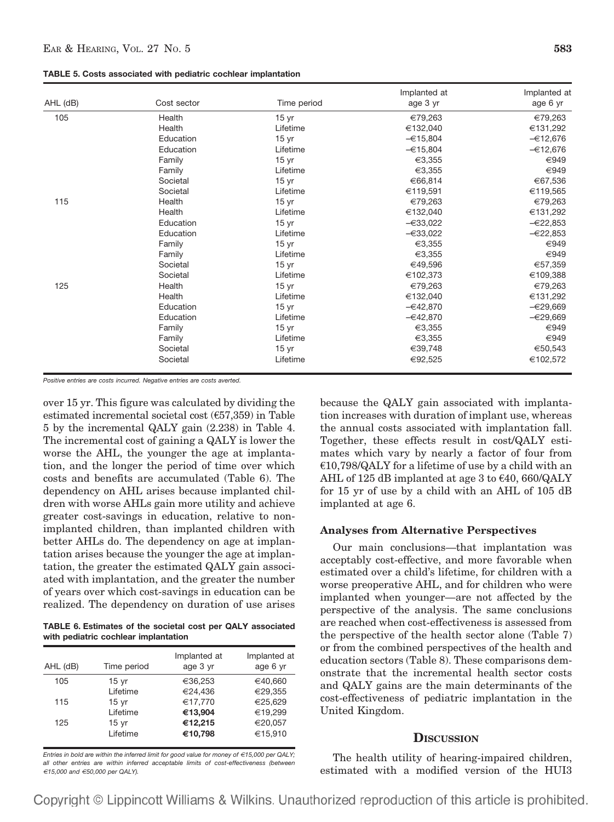| TABLE 5. Costs associated with pediatric cochlear implantation |  |  |  |
|----------------------------------------------------------------|--|--|--|
|                                                                |  |  |  |

|          |             |                  | Implanted at | Implanted at |
|----------|-------------|------------------|--------------|--------------|
| AHL (dB) | Cost sector | Time period      | age 3 yr     | age 6 yr     |
| 105      | Health      | 15 <sub>yr</sub> | €79,263      | €79,263      |
|          | Health      | Lifetime         | €132,040     | €131,292     |
|          | Education   | 15 <sub>yr</sub> | $-615,804$   | $-612,676$   |
|          | Education   | Lifetime         | $-615,804$   | $-612,676$   |
|          | Family      | 15 <sub>yr</sub> | €3,355       | €949         |
|          | Family      | Lifetime         | €3,355       | €949         |
|          | Societal    | 15 <sub>yr</sub> | €66,814      | €67,536      |
|          | Societal    | Lifetime         | €119,591     | €119,565     |
| 115      | Health      | 15 <sub>yr</sub> | €79,263      | €79,263      |
|          | Health      | Lifetime         | €132.040     | €131,292     |
|          | Education   | 15 <sub>yr</sub> | $-633.022$   | $-622,853$   |
|          | Education   | Lifetime         | $-633,022$   | $-622,853$   |
|          | Family      | 15 <sub>yr</sub> | €3,355       | €949         |
|          | Family      | Lifetime         | €3,355       | €949         |
|          | Societal    | 15 <sub>yr</sub> | €49,596      | €57,359      |
|          | Societal    | Lifetime         | €102.373     | €109.388     |
| 125      | Health      | 15 <sub>yr</sub> | €79,263      | €79,263      |
|          | Health      | Lifetime         | €132,040     | €131,292     |
|          | Education   | 15 <sub>yr</sub> | $-642,870$   | $-629,669$   |
|          | Education   | Lifetime         | $-642,870$   | $-629,669$   |
|          | Family      | 15 <sub>yr</sub> | €3,355       | €949         |
|          | Family      | Lifetime         | €3,355       | €949         |
|          | Societal    | 15 <sub>yr</sub> | €39.748      | €50,543      |
|          | Societal    | Lifetime         | €92,525      | €102,572     |

*Positive entries are costs incurred. Negative entries are costs averted.*

over 15 yr. This figure was calculated by dividing the estimated incremental societal cost ( $657,359$ ) in Table 5 by the incremental QALY gain (2.238) in Table 4. The incremental cost of gaining a QALY is lower the worse the AHL, the younger the age at implantation, and the longer the period of time over which costs and benefits are accumulated (Table 6). The dependency on AHL arises because implanted children with worse AHLs gain more utility and achieve greater cost-savings in education, relative to nonimplanted children, than implanted children with better AHLs do. The dependency on age at implantation arises because the younger the age at implantation, the greater the estimated QALY gain associated with implantation, and the greater the number of years over which cost-savings in education can be realized. The dependency on duration of use arises

**TABLE 6. Estimates of the societal cost per QALY associated with pediatric cochlear implantation**

| AHL (dB) | Time period      | Implanted at<br>age 3 yr | Implanted at<br>age 6 yr |
|----------|------------------|--------------------------|--------------------------|
| 105      | 15 <sub>yr</sub> | €36,253                  | €40,660                  |
|          | Lifetime         | €24.436                  | €29,355                  |
| 115      | 15 <sub>vr</sub> | €17,770                  | €25.629                  |
|          | Lifetime         | €13,904                  | €19,299                  |
| 125      | 15 <sub>vr</sub> | €12,215                  | €20,057                  |
|          | Lifetime         | €10,798                  | €15,910                  |

because the QALY gain associated with implantation increases with duration of implant use, whereas the annual costs associated with implantation fall. Together, these effects result in cost/QALY estimates which vary by nearly a factor of four from  $€10,798/QALY$  for a lifetime of use by a child with an AHL of 125 dB implanted at age 3 to  $\epsilon$ 40, 660/QALY for 15 yr of use by a child with an AHL of 105 dB implanted at age 6.

#### **Analyses from Alternative Perspectives**

Our main conclusions—that implantation was acceptably cost-effective, and more favorable when estimated over a child's lifetime, for children with a worse preoperative AHL, and for children who were implanted when younger—are not affected by the perspective of the analysis. The same conclusions are reached when cost-effectiveness is assessed from the perspective of the health sector alone (Table 7) or from the combined perspectives of the health and education sectors (Table 8). These comparisons demonstrate that the incremental health sector costs and QALY gains are the main determinants of the cost-effectiveness of pediatric implantation in the United Kingdom.

## **DISCUSSION**

*Entries in bold are within the inferred limit for good value for money of €15,000 per QALY; all other entries are within inferred acceptable limits of cost-effectiveness (between €15,000 and €50,000 per QALY).*

The health utility of hearing-impaired children, estimated with a modified version of the HUI3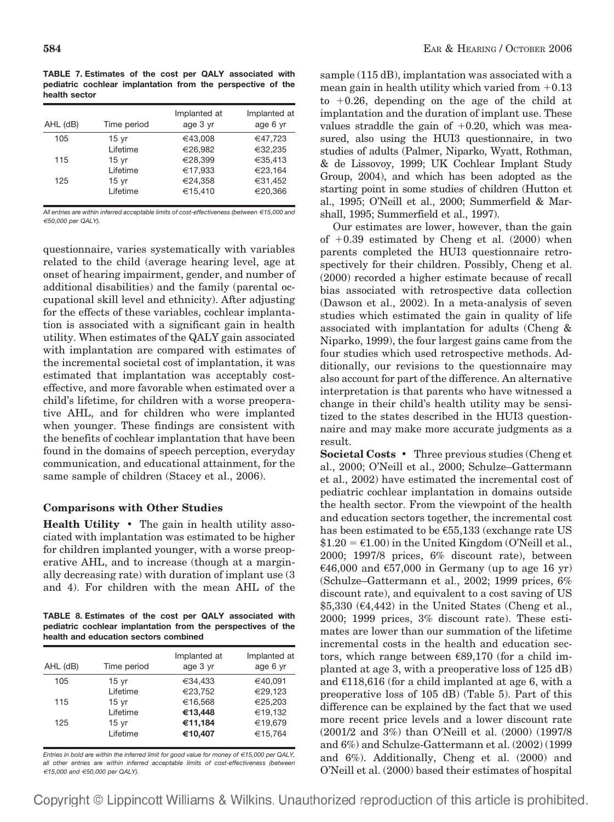**TABLE 7. Estimates of the cost per QALY associated with pediatric cochlear implantation from the perspective of the health sector**

| AHL (dB) | Time period      | Implanted at<br>age 3 yr | Implanted at<br>age 6 yr |
|----------|------------------|--------------------------|--------------------------|
| 105      | 15 <sub>yr</sub> | €43,008                  | €47,723                  |
|          | Lifetime         | €26,982                  | €32,235                  |
| 115      | 15 <sub>yr</sub> | €28,399                  | €35,413                  |
|          | Lifetime         | €17,933                  | €23,164                  |
| 125      | 15 <sub>yr</sub> | €24,358                  | €31,452                  |
|          | Lifetime         | €15.410                  | €20,366                  |

*All entries are within inferred acceptable limits of cost-effectiveness (between €15,000 and €50,000 per QALY).*

questionnaire, varies systematically with variables related to the child (average hearing level, age at onset of hearing impairment, gender, and number of additional disabilities) and the family (parental occupational skill level and ethnicity). After adjusting for the effects of these variables, cochlear implantation is associated with a significant gain in health utility. When estimates of the QALY gain associated with implantation are compared with estimates of the incremental societal cost of implantation, it was estimated that implantation was acceptably costeffective, and more favorable when estimated over a child's lifetime, for children with a worse preoperative AHL, and for children who were implanted when younger. These findings are consistent with the benefits of cochlear implantation that have been found in the domains of speech perception, everyday communication, and educational attainment, for the same sample of children (Stacey et al., 2006).

## **Comparisons with Other Studies**

**Health Utility** • The gain in health utility associated with implantation was estimated to be higher for children implanted younger, with a worse preoperative AHL, and to increase (though at a marginally decreasing rate) with duration of implant use (3 and 4). For children with the mean AHL of the

**TABLE 8. Estimates of the cost per QALY associated with pediatric cochlear implantation from the perspectives of the health and education sectors combined**

| AHL (dB) | Time period      | Implanted at<br>age 3 yr | Implanted at<br>age 6 yr |
|----------|------------------|--------------------------|--------------------------|
| 105      | 15 $vr$          | €34,433                  | €40,091                  |
|          | Lifetime         | €23,752                  | €29.123                  |
| 115      | 15 <sub>vr</sub> | €16,568                  | €25,203                  |
|          | Lifetime         | €13,448                  | €19,132                  |
| 125      | 15 <sub>vr</sub> | €11,184                  | €19,679                  |
|          | Lifetime         | €10,407                  | €15,764                  |

*Entries in bold are within the inferred limit for good value for money of €15,000 per QALY, all other entries are within inferred acceptable limits of cost-effectiveness (between €15,000 and €50,000 per QALY).*

sample (115 dB), implantation was associated with a mean gain in health utility which varied from  $+0.13$ to  $+0.26$ , depending on the age of the child at implantation and the duration of implant use. These values straddle the gain of  $+0.20$ , which was measured, also using the HUI3 questionnaire, in two studies of adults (Palmer, Niparko, Wyatt, Rothman, & de Lissovoy, 1999; UK Cochlear Implant Study Group, 2004), and which has been adopted as the starting point in some studies of children (Hutton et al., 1995; O'Neill et al., 2000; Summerfield & Marshall, 1995; Summerfield et al., 1997).

Our estimates are lower, however, than the gain of  $+0.39$  estimated by Cheng et al. (2000) when parents completed the HUI3 questionnaire retrospectively for their children. Possibly, Cheng et al. (2000) recorded a higher estimate because of recall bias associated with retrospective data collection (Dawson et al., 2002). In a meta-analysis of seven studies which estimated the gain in quality of life associated with implantation for adults (Cheng & Niparko, 1999), the four largest gains came from the four studies which used retrospective methods. Additionally, our revisions to the questionnaire may also account for part of the difference. An alternative interpretation is that parents who have witnessed a change in their child's health utility may be sensitized to the states described in the HUI3 questionnaire and may make more accurate judgments as a result.

**Societal Costs** • Three previous studies (Cheng et al., 2000; O'Neill et al., 2000; Schulze–Gattermann et al., 2002) have estimated the incremental cost of pediatric cochlear implantation in domains outside the health sector. From the viewpoint of the health and education sectors together, the incremental cost has been estimated to be  $\epsilon$ 55,133 (exchange rate US  $$1.20 = £1.00$  in the United Kingdom (O'Neill et al., 2000; 1997/8 prices, 6% discount rate), between €46,000 and €57,000 in Germany (up to age 16 yr) (Schulze–Gattermann et al., 2002; 1999 prices, 6% discount rate), and equivalent to a cost saving of US  $$5,330$  ( $$4,442$ ) in the United States (Cheng et al., 2000; 1999 prices, 3% discount rate). These estimates are lower than our summation of the lifetime incremental costs in the health and education sectors, which range between  $\epsilon$ 89,170 (for a child implanted at age 3, with a preoperative loss of 125 dB) and  $\epsilon$ 118,616 (for a child implanted at age 6, with a preoperative loss of 105 dB) (Table 5). Part of this difference can be explained by the fact that we used more recent price levels and a lower discount rate (2001/2 and 3%) than O'Neill et al. (2000) (1997/8 and 6%) and Schulze-Gattermann et al. (2002) (1999 and 6%). Additionally, Cheng et al. (2000) and O'Neill et al. (2000) based their estimates of hospital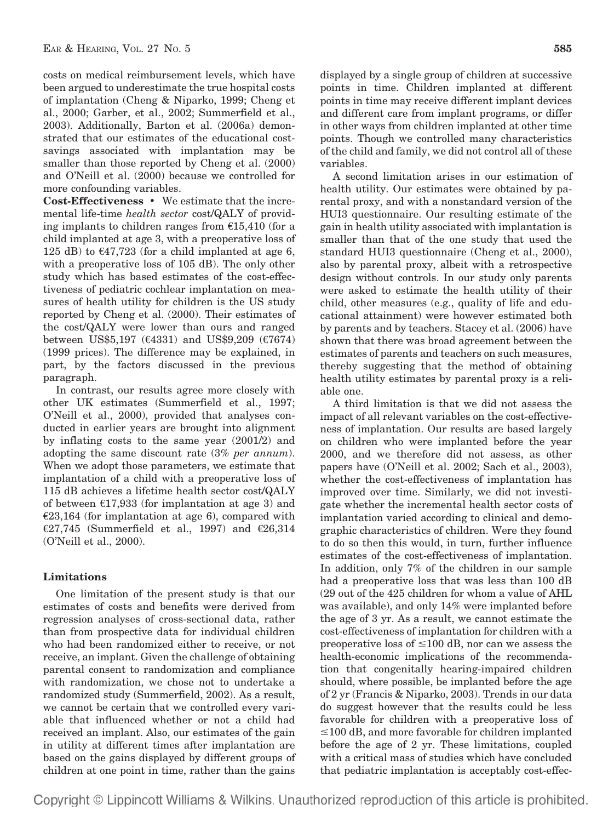costs on medical reimbursement levels, which have been argued to underestimate the true hospital costs of implantation (Cheng & Niparko, 1999; Cheng et al., 2000; Garber, et al., 2002; Summerfield et al., 2003). Additionally, Barton et al. (2006a) demonstrated that our estimates of the educational costsavings associated with implantation may be smaller than those reported by Cheng et al. (2000) and O'Neill et al. (2000) because we controlled for more confounding variables.

**Cost-Effectiveness** • We estimate that the incremental life-time *health sector* cost/QALY of providing implants to children ranges from €15,410 (for a child implanted at age 3, with a preoperative loss of 125 dB) to  $\epsilon$ 47,723 (for a child implanted at age 6, with a preoperative loss of 105 dB). The only other study which has based estimates of the cost-effectiveness of pediatric cochlear implantation on measures of health utility for children is the US study reported by Cheng et al. (2000). Their estimates of the cost/QALY were lower than ours and ranged between US\$5,197 (€4331) and US\$9,209 (€7674) (1999 prices). The difference may be explained, in part, by the factors discussed in the previous paragraph.

In contrast, our results agree more closely with other UK estimates (Summerfield et al., 1997; O'Neill et al., 2000), provided that analyses conducted in earlier years are brought into alignment by inflating costs to the same year (2001/2) and adopting the same discount rate (3% *per annum*). When we adopt those parameters, we estimate that implantation of a child with a preoperative loss of 115 dB achieves a lifetime health sector cost/QALY of between  $\epsilon$ 17,933 (for implantation at age 3) and €23,164 (for implantation at age 6), compared with €27,745 (Summerfield et al., 1997) and €26,314 (O'Neill et al., 2000).

# **Limitations**

One limitation of the present study is that our estimates of costs and benefits were derived from regression analyses of cross-sectional data, rather than from prospective data for individual children who had been randomized either to receive, or not receive, an implant. Given the challenge of obtaining parental consent to randomization and compliance with randomization, we chose not to undertake a randomized study (Summerfield, 2002). As a result, we cannot be certain that we controlled every variable that influenced whether or not a child had received an implant. Also, our estimates of the gain in utility at different times after implantation are based on the gains displayed by different groups of children at one point in time, rather than the gains

displayed by a single group of children at successive points in time. Children implanted at different points in time may receive different implant devices and different care from implant programs, or differ in other ways from children implanted at other time points. Though we controlled many characteristics of the child and family, we did not control all of these variables.

A second limitation arises in our estimation of health utility. Our estimates were obtained by parental proxy, and with a nonstandard version of the HUI3 questionnaire. Our resulting estimate of the gain in health utility associated with implantation is smaller than that of the one study that used the standard HUI3 questionnaire (Cheng et al., 2000), also by parental proxy, albeit with a retrospective design without controls. In our study only parents were asked to estimate the health utility of their child, other measures (e.g., quality of life and educational attainment) were however estimated both by parents and by teachers. Stacey et al. (2006) have shown that there was broad agreement between the estimates of parents and teachers on such measures, thereby suggesting that the method of obtaining health utility estimates by parental proxy is a reliable one.

A third limitation is that we did not assess the impact of all relevant variables on the cost-effectiveness of implantation. Our results are based largely on children who were implanted before the year 2000, and we therefore did not assess, as other papers have (O'Neill et al. 2002; Sach et al., 2003), whether the cost-effectiveness of implantation has improved over time. Similarly, we did not investigate whether the incremental health sector costs of implantation varied according to clinical and demographic characteristics of children. Were they found to do so then this would, in turn, further influence estimates of the cost-effectiveness of implantation. In addition, only 7% of the children in our sample had a preoperative loss that was less than 100 dB (29 out of the 425 children for whom a value of AHL was available), and only 14% were implanted before the age of 3 yr. As a result, we cannot estimate the cost-effectiveness of implantation for children with a preoperative loss of  $\leq 100$  dB, nor can we assess the health-economic implications of the recommendation that congenitally hearing-impaired children should, where possible, be implanted before the age of 2 yr (Francis & Niparko, 2003). Trends in our data do suggest however that the results could be less favorable for children with a preoperative loss of  $\leq$ 100 dB, and more favorable for children implanted before the age of 2 yr. These limitations, coupled with a critical mass of studies which have concluded that pediatric implantation is acceptably cost-effec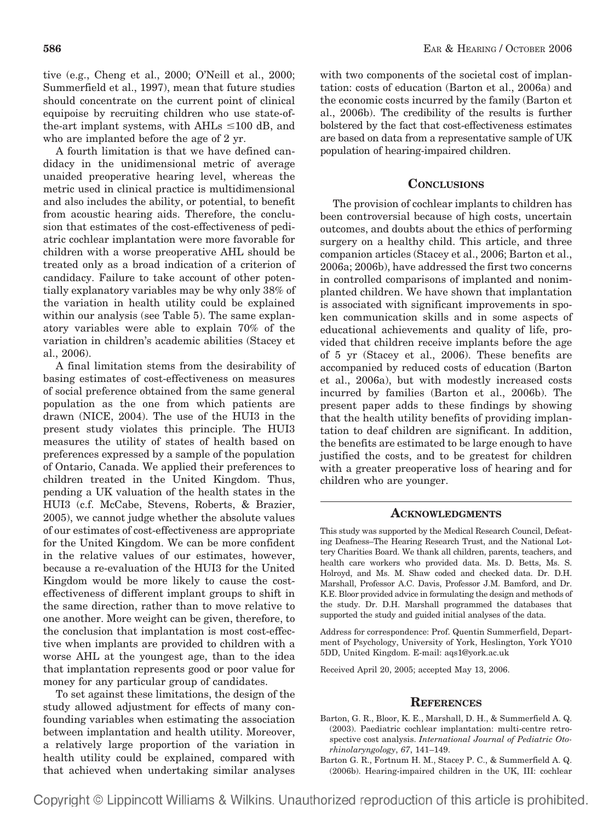tive (e.g., Cheng et al., 2000; O'Neill et al., 2000; Summerfield et al., 1997), mean that future studies should concentrate on the current point of clinical equipoise by recruiting children who use state-ofthe-art implant systems, with AHLs  $\leq 100$  dB, and who are implanted before the age of 2 yr.

A fourth limitation is that we have defined candidacy in the unidimensional metric of average unaided preoperative hearing level, whereas the metric used in clinical practice is multidimensional and also includes the ability, or potential, to benefit from acoustic hearing aids. Therefore, the conclusion that estimates of the cost-effectiveness of pediatric cochlear implantation were more favorable for children with a worse preoperative AHL should be treated only as a broad indication of a criterion of candidacy. Failure to take account of other potentially explanatory variables may be why only 38% of the variation in health utility could be explained within our analysis (see Table 5). The same explanatory variables were able to explain 70% of the variation in children's academic abilities (Stacey et al., 2006).

A final limitation stems from the desirability of basing estimates of cost-effectiveness on measures of social preference obtained from the same general population as the one from which patients are drawn (NICE, 2004). The use of the HUI3 in the present study violates this principle. The HUI3 measures the utility of states of health based on preferences expressed by a sample of the population of Ontario, Canada. We applied their preferences to children treated in the United Kingdom. Thus, pending a UK valuation of the health states in the HUI3 (c.f. McCabe, Stevens, Roberts, & Brazier, 2005), we cannot judge whether the absolute values of our estimates of cost-effectiveness are appropriate for the United Kingdom. We can be more confident in the relative values of our estimates, however, because a re-evaluation of the HUI3 for the United Kingdom would be more likely to cause the costeffectiveness of different implant groups to shift in the same direction, rather than to move relative to one another. More weight can be given, therefore, to the conclusion that implantation is most cost-effective when implants are provided to children with a worse AHL at the youngest age, than to the idea that implantation represents good or poor value for money for any particular group of candidates.

To set against these limitations, the design of the study allowed adjustment for effects of many confounding variables when estimating the association between implantation and health utility. Moreover, a relatively large proportion of the variation in health utility could be explained, compared with that achieved when undertaking similar analyses

with two components of the societal cost of implantation: costs of education (Barton et al., 2006a) and the economic costs incurred by the family (Barton et al., 2006b). The credibility of the results is further bolstered by the fact that cost-effectiveness estimates are based on data from a representative sample of UK population of hearing-impaired children.

## **CONCLUSIONS**

The provision of cochlear implants to children has been controversial because of high costs, uncertain outcomes, and doubts about the ethics of performing surgery on a healthy child. This article, and three companion articles (Stacey et al., 2006; Barton et al., 2006a; 2006b), have addressed the first two concerns in controlled comparisons of implanted and nonimplanted children. We have shown that implantation is associated with significant improvements in spoken communication skills and in some aspects of educational achievements and quality of life, provided that children receive implants before the age of 5 yr (Stacey et al., 2006). These benefits are accompanied by reduced costs of education (Barton et al., 2006a), but with modestly increased costs incurred by families (Barton et al., 2006b). The present paper adds to these findings by showing that the health utility benefits of providing implantation to deaf children are significant. In addition, the benefits are estimated to be large enough to have justified the costs, and to be greatest for children with a greater preoperative loss of hearing and for children who are younger.

## **ACKNOWLEDGMENTS**

This study was supported by the Medical Research Council, Defeating Deafness–The Hearing Research Trust, and the National Lottery Charities Board. We thank all children, parents, teachers, and health care workers who provided data. Ms. D. Betts, Ms. S. Holroyd, and Ms. M. Shaw coded and checked data. Dr. D.H. Marshall, Professor A.C. Davis, Professor J.M. Bamford, and Dr. K.E. Bloor provided advice in formulating the design and methods of the study. Dr. D.H. Marshall programmed the databases that supported the study and guided initial analyses of the data.

Address for correspondence: Prof. Quentin Summerfield, Department of Psychology, University of York, Heslington, York YO10 5DD, United Kingdom. E-mail: aqs1@york.ac.uk

Received April 20, 2005; accepted May 13, 2006.

## **REFERENCES**

- Barton, G. R., Bloor, K. E., Marshall, D. H., & Summerfield A. Q. (2003). Paediatric cochlear implantation: multi-centre retrospective cost analysis. *International Journal of Pediatric Otorhinolaryngology*, *67*, 141–149.
- Barton G. R., Fortnum H. M., Stacey P. C., & Summerfield A. Q. (2006b). Hearing-impaired children in the UK, III: cochlear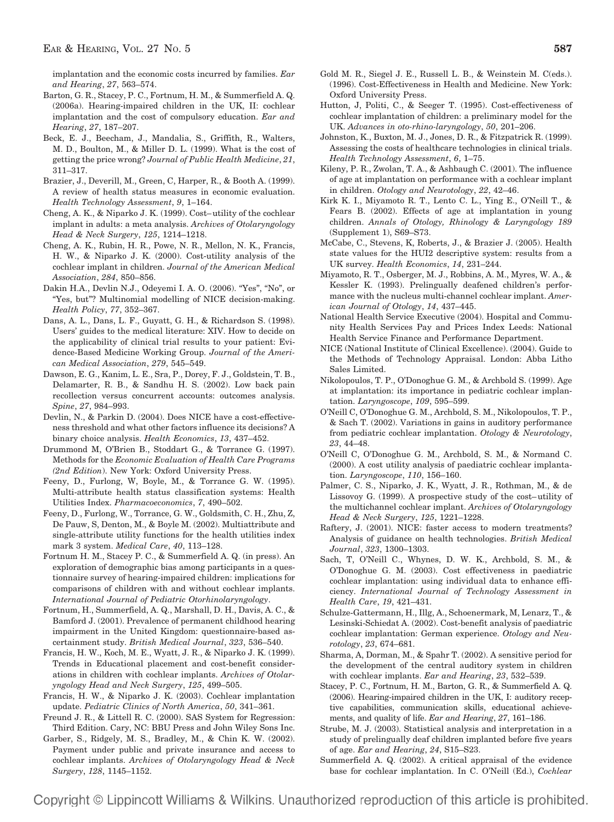implantation and the economic costs incurred by families. *Ear and Hearing*, *27*, 563–574.

- Barton, G. R., Stacey, P. C., Fortnum, H. M., & Summerfield A. Q. (2006a). Hearing-impaired children in the UK, II: cochlear implantation and the cost of compulsory education. *Ear and Hearing*, *27*, 187–207.
- Beck, E. J., Beecham, J., Mandalia, S., Griffith, R., Walters, M. D., Boulton, M., & Miller D. L. (1999). What is the cost of getting the price wrong? *Journal of Public Health Medicine*, *21*, 311–317.
- Brazier, J., Deverill, M., Green, C, Harper, R., & Booth A. (1999). A review of health status measures in economic evaluation. *Health Technology Assessment*, *9*, 1–164.
- Cheng, A. K., & Niparko J. K. (1999). Cost–utility of the cochlear implant in adults: a meta analysis. *Archives of Otolaryngology Head & Neck Surgery*, *125*, 1214–1218.
- Cheng, A. K., Rubin, H. R., Powe, N. R., Mellon, N. K., Francis, H. W., & Niparko J. K. (2000). Cost-utility analysis of the cochlear implant in children. *Journal of the American Medical Association*, *284*, 850–856.
- Dakin H.A., Devlin N.J., Odeyemi I. A. O. (2006). "Yes", "No", or "Yes, but"? Multinomial modelling of NICE decision-making. *Health Policy*, *77*, 352–367.
- Dans, A. L., Dans, L. F., Guyatt, G. H., & Richardson S. (1998). Users' guides to the medical literature: XIV. How to decide on the applicability of clinical trial results to your patient: Evidence-Based Medicine Working Group. *Journal of the American Medical Association*, *279*, 545–549.
- Dawson, E. G., Kanim, L. E., Sra, P., Dorey, F. J., Goldstein, T. B., Delamarter, R. B., & Sandhu H. S. (2002). Low back pain recollection versus concurrent accounts: outcomes analysis. *Spine*, *27*, 984–993.
- Devlin, N., & Parkin D. (2004). Does NICE have a cost-effectiveness threshold and what other factors influence its decisions? A binary choice analysis. *Health Economics*, *13*, 437–452.
- Drummond M, O'Brien B., Stoddart G., & Torrance G. (1997). Methods for the *Economic Evaluation of Health Care Programs (2nd Edition*). New York: Oxford University Press.
- Feeny, D., Furlong, W, Boyle, M., & Torrance G. W. (1995). Multi-attribute health status classification systems: Health Utilities Index. *Pharmacoeconomics*, *7*, 490–502.
- Feeny, D., Furlong, W., Torrance, G. W., Goldsmith, C. H., Zhu, Z, De Pauw, S, Denton, M., & Boyle M. (2002). Multiattribute and single-attribute utility functions for the health utilities index mark 3 system. *Medical Care*, *40*, 113–128.
- Fortnum H. M., Stacey P. C., & Summerfield A. Q. (in press). An exploration of demographic bias among participants in a questionnaire survey of hearing-impaired children: implications for comparisons of children with and without cochlear implants. *International Journal of Pediatric Otorhinolaryngology*.
- Fortnum, H., Summerfield, A. Q., Marshall, D. H., Davis, A. C., & Bamford J. (2001). Prevalence of permanent childhood hearing impairment in the United Kingdom: questionnaire-based ascertainment study. *British Medical Journal*, *323*, 536–540.
- Francis, H. W., Koch, M. E., Wyatt, J. R., & Niparko J. K. (1999). Trends in Educational placement and cost-benefit considerations in children with cochlear implants. *Archives of Otolaryngology Head and Neck Surgery*, *125*, 499–505.
- Francis, H. W., & Niparko J. K. (2003). Cochlear implantation update. *Pediatric Clinics of North America*, *50*, 341–361.
- Freund J. R., & Littell R. C. (2000). SAS System for Regression: Third Edition. Cary, NC: BBU Press and John Wiley Sons Inc.
- Garber, S., Ridgely, M. S., Bradley, M., & Chin K. W. (2002). Payment under public and private insurance and access to cochlear implants. *Archives of Otolaryngology Head & Neck Surgery*, *128*, 1145–1152.
- Gold M. R., Siegel J. E., Russell L. B., & Weinstein M. C(eds.). (1996). Cost-Effectiveness in Health and Medicine. New York: Oxford University Press.
- Hutton, J, Politi, C., & Seeger T. (1995). Cost-effectiveness of cochlear implantation of children: a preliminary model for the UK. *Advances in oto-rhino-laryngology*, *50*, 201–206.
- Johnston, K., Buxton, M. J., Jones, D. R., & Fitzpatrick R. (1999). Assessing the costs of healthcare technologies in clinical trials. *Health Technology Assessment*, *6*, 1–75.
- Kileny, P. R., Zwolan, T. A., & Ashbaugh C. (2001). The influence of age at implantation on performance with a cochlear implant in children. *Otology and Neurotology*, *22*, 42–46.
- Kirk K. I., Miyamoto R. T., Lento C. L., Ying E., O'Neill T., & Fears B. (2002). Effects of age at implantation in young children. *Annals of Otology, Rhinology & Laryngology 189* (Supplement 1), S69–S73.
- McCabe, C., Stevens, K, Roberts, J., & Brazier J. (2005). Health state values for the HUI2 descriptive system: results from a UK survey. *Health Economics*, *14*, 231–244.
- Miyamoto, R. T., Osberger, M. J., Robbins, A. M., Myres, W. A., & Kessler K. (1993). Prelingually deafened children's performance with the nucleus multi-channel cochlear implant. *American Journal of Otology*, *14*, 437–445.
- National Health Service Executive (2004). Hospital and Community Health Services Pay and Prices Index Leeds: National Health Service Finance and Performance Department.
- NICE (National Institute of Clinical Excellence). (2004). Guide to the Methods of Technology Appraisal. London: Abba Litho Sales Limited.
- Nikolopoulos, T. P., O'Donoghue G. M., & Archbold S. (1999). Age at implantation: its importance in pediatric cochlear implantation. *Laryngoscope*, *109*, 595–599.
- O'Neill C, O'Donoghue G. M., Archbold, S. M., Nikolopoulos, T. P., & Sach T. (2002). Variations in gains in auditory performance from pediatric cochlear implantation. *Otology & Neurotology*, *23*, 44–48.
- O'Neill C, O'Donoghue G. M., Archbold, S. M., & Normand C. (2000). A cost utility analysis of paediatric cochlear implantation. *Laryngoscope*, *110*, 156–160.
- Palmer, C. S., Niparko, J. K., Wyatt, J. R., Rothman, M., & de Lissovoy G. (1999). A prospective study of the cost–utility of the multichannel cochlear implant. *Archives of Otolaryngology Head & Neck Surgery*, *125*, 1221–1228.
- Raftery, J. (2001). NICE: faster access to modern treatments? Analysis of guidance on health technologies. *British Medical Journal*, *323*, 1300–1303.
- Sach, T, O'Neill C., Whynes, D. W. K., Archbold, S. M., & O'Donoghue G. M. (2003). Cost effectiveness in paediatric cochlear implantation: using individual data to enhance efficiency. *International Journal of Technology Assessment in Health Care*, *19*, 421–431.
- Schulze-Gattermann, H., Illg, A., Schoenermark, M, Lenarz, T., & Lesinski-Schiedat A. (2002). Cost-benefit analysis of paediatric cochlear implantation: German experience. *Otology and Neurotology*, *23*, 674–681.
- Sharma, A, Dorman, M., & Spahr T. (2002). A sensitive period for the development of the central auditory system in children with cochlear implants. *Ear and Hearing*, *23*, 532–539.
- Stacey, P. C., Fortnum, H. M., Barton, G. R., & Summerfield A. Q. (2006). Hearing-impaired children in the UK, I: auditory receptive capabilities, communication skills, educational achievements, and quality of life. *Ear and Hearing*, *27*, 161–186.
- Strube, M. J. (2003). Statistical analysis and interpretation in a study of prelingually deaf children implanted before five years of age. *Ear and Hearing*, *24*, S15–S23.
- Summerfield A. Q. (2002). A critical appraisal of the evidence base for cochlear implantation. In C. O'Neill (Ed.), *Cochlear*